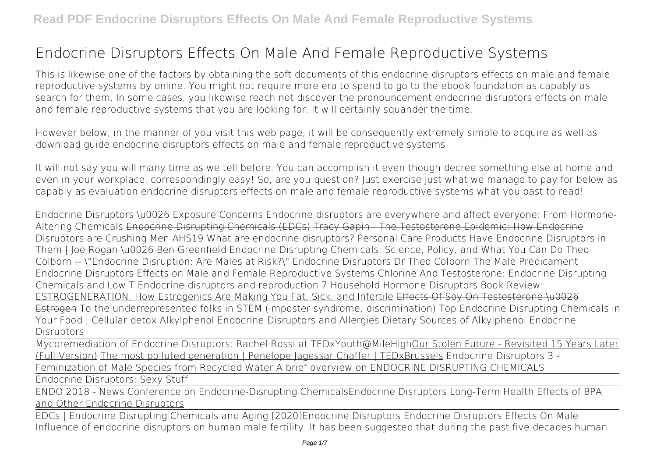This is likewise one of the factors by obtaining the soft documents of this **endocrine disruptors effects on male and female reproductive systems** by online. You might not require more era to spend to go to the ebook foundation as capably as search for them. In some cases, you likewise reach not discover the pronouncement endocrine disruptors effects on male and female reproductive systems that you are looking for. It will certainly squander the time.

However below, in the manner of you visit this web page, it will be consequently extremely simple to acquire as well as download guide endocrine disruptors effects on male and female reproductive systems

It will not say you will many time as we tell before. You can accomplish it even though decree something else at home and even in your workplace. correspondingly easy! So, are you question? Just exercise just what we manage to pay for below as capably as evaluation **endocrine disruptors effects on male and female reproductive systems** what you past to read!

Endocrine Disruptors \u0026 Exposure Concerns **Endocrine disruptors are everywhere and affect everyone: From Hormone-Altering Chemicals** Endocrine Disrupting Chemicals (EDCs) Tracy Gapin - The Testosterone Epidemic: How Endocrine Disruptors are Crushing Men AHS19 What are endocrine disruptors? Personal Care Products Have Endocrine Disruptors in Them | Joe Rogan \u0026 Ben Greenfield Endocrine Disrupting Chemicals: Science, Policy, and What You Can Do *Theo Colborn -- \"Endocrine Disruption: Are Males at Risk?\" Endocrine Disruptors Dr Theo Colborn The Male Predicament Endocrine Disruptors Effects on Male and Female Reproductive Systems* **Chlorine And Testosterone: Endocrine Disrupting Chemicals and Low T** Endocrine disruptors and reproduction **7 Household Hormone Disruptors** Book Review: ESTROGENERATION, How Estrogenics Are Making You Fat, Sick, and Infertile Effects Of Soy On Testosterone \u0026 Estrogen *To the underrepresented folks in STEM (imposter syndrome, discrimination)* Top Endocrine Disrupting Chemicals in Your Food | Cellular detox *Alkylphenol Endocrine Disruptors and Allergies* Dietary Sources of Alkylphenol Endocrine **Disruptors** 

Mycoremediation of Endocrine Disruptors: Rachel Rossi at TEDxYouth@MileHighOur Stolen Future - Revisited 15 Years Later (Full Version) The most polluted generation | Penelope Jagessar Chaffer | TEDxBrussels *Endocrine Disruptors 3 - Feminization of Male Species from Recycled Water* **A brief overview on ENDOCRINE DISRUPTING CHEMICALS**

Endocrine Disruptors: Sexy Stuff

ENDO 2018 - News Conference on Endocrine-Disrupting Chemicals*Endocrine Disruptors* Long-Term Health Effects of BPA and Other Endocrine Disruptors

EDCs | Endocrine Disrupting Chemicals and Aging [2020]**Endocrine Disruptors** *Endocrine Disruptors Effects On Male* Influence of endocrine disruptors on human male fertility. It has been suggested that during the past five decades human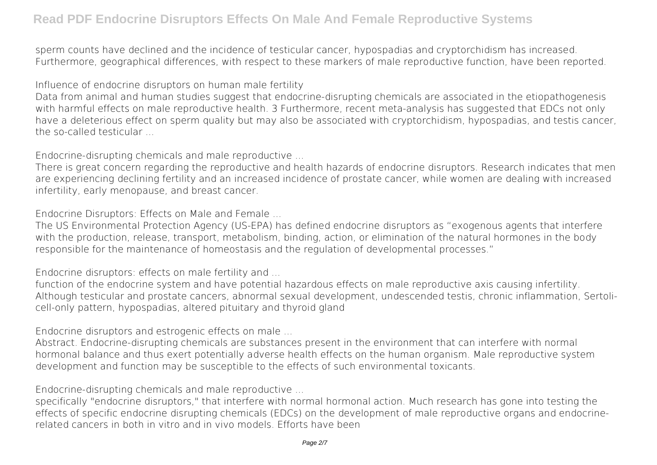sperm counts have declined and the incidence of testicular cancer, hypospadias and cryptorchidism has increased. Furthermore, geographical differences, with respect to these markers of male reproductive function, have been reported.

*Influence of endocrine disruptors on human male fertility*

Data from animal and human studies suggest that endocrine-disrupting chemicals are associated in the etiopathogenesis with harmful effects on male reproductive health. 3 Furthermore, recent meta-analysis has suggested that EDCs not only have a deleterious effect on sperm quality but may also be associated with cryptorchidism, hypospadias, and testis cancer, the so-called testicular

*Endocrine‐disrupting chemicals and male reproductive ...*

There is great concern regarding the reproductive and health hazards of endocrine disruptors. Research indicates that men are experiencing declining fertility and an increased incidence of prostate cancer, while women are dealing with increased infertility, early menopause, and breast cancer.

*Endocrine Disruptors: Effects on Male and Female ...*

The US Environmental Protection Agency (US-EPA) has defined endocrine disruptors as "exogenous agents that interfere with the production, release, transport, metabolism, binding, action, or elimination of the natural hormones in the body responsible for the maintenance of homeostasis and the regulation of developmental processes."

*Endocrine disruptors: effects on male fertility and ...*

function of the endocrine system and have potential hazardous effects on male reproductive axis causing infertility. Although testicular and prostate cancers, abnormal sexual development, undescended testis, chronic inflammation, Sertolicell-only pattern, hypospadias, altered pituitary and thyroid gland

*Endocrine disruptors and estrogenic effects on male ...*

Abstract. Endocrine-disrupting chemicals are substances present in the environment that can interfere with normal hormonal balance and thus exert potentially adverse health effects on the human organism. Male reproductive system development and function may be susceptible to the effects of such environmental toxicants.

*Endocrine-disrupting chemicals and male reproductive ...*

specifically "endocrine disruptors," that interfere with normal hormonal action. Much research has gone into testing the effects of specific endocrine disrupting chemicals (EDCs) on the development of male reproductive organs and endocrinerelated cancers in both in vitro and in vivo models. Efforts have been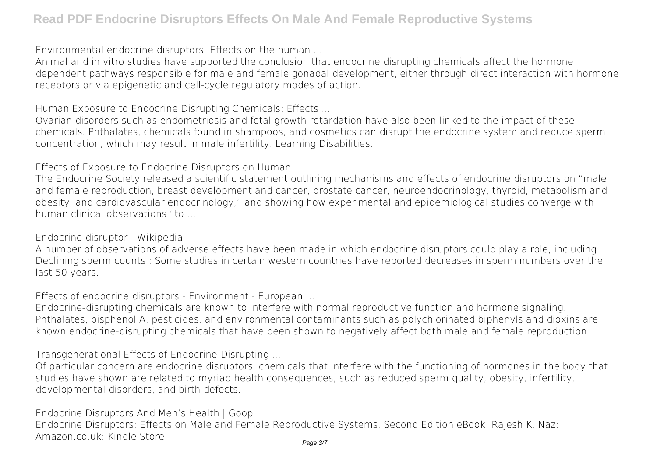*Environmental endocrine disruptors: Effects on the human ...*

Animal and in vitro studies have supported the conclusion that endocrine disrupting chemicals affect the hormone dependent pathways responsible for male and female gonadal development, either through direct interaction with hormone receptors or via epigenetic and cell-cycle regulatory modes of action.

*Human Exposure to Endocrine Disrupting Chemicals: Effects ...*

Ovarian disorders such as endometriosis and fetal growth retardation have also been linked to the impact of these chemicals. Phthalates, chemicals found in shampoos, and cosmetics can disrupt the endocrine system and reduce sperm concentration, which may result in male infertility. Learning Disabilities.

*Effects of Exposure to Endocrine Disruptors on Human ...*

The Endocrine Society released a scientific statement outlining mechanisms and effects of endocrine disruptors on "male and female reproduction, breast development and cancer, prostate cancer, neuroendocrinology, thyroid, metabolism and obesity, and cardiovascular endocrinology," and showing how experimental and epidemiological studies converge with human clinical observations "to ...

*Endocrine disruptor - Wikipedia*

A number of observations of adverse effects have been made in which endocrine disruptors could play a role, including: Declining sperm counts : Some studies in certain western countries have reported decreases in sperm numbers over the last 50 years.

*Effects of endocrine disruptors - Environment - European ...*

Endocrine-disrupting chemicals are known to interfere with normal reproductive function and hormone signaling. Phthalates, bisphenol A, pesticides, and environmental contaminants such as polychlorinated biphenyls and dioxins are known endocrine-disrupting chemicals that have been shown to negatively affect both male and female reproduction.

*Transgenerational Effects of Endocrine-Disrupting ...*

Of particular concern are endocrine disruptors, chemicals that interfere with the functioning of hormones in the body that studies have shown are related to myriad health consequences, such as reduced sperm quality, obesity, infertility, developmental disorders, and birth defects.

*Endocrine Disruptors And Men's Health | Goop* Endocrine Disruptors: Effects on Male and Female Reproductive Systems, Second Edition eBook: Rajesh K. Naz: Amazon.co.uk: Kindle Store Page 3/7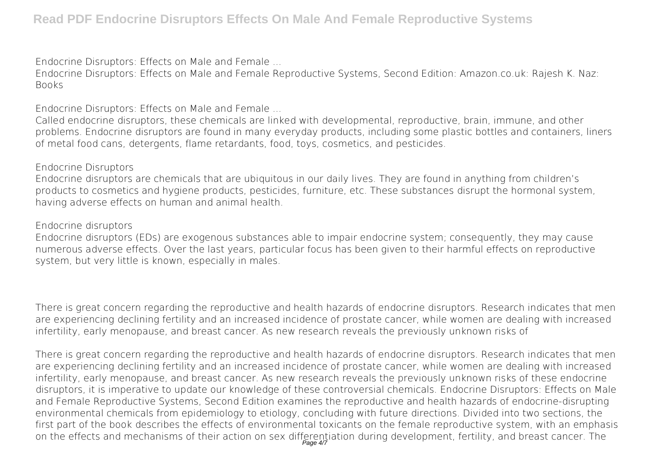*Endocrine Disruptors: Effects on Male and Female ...*

Endocrine Disruptors: Effects on Male and Female Reproductive Systems, Second Edition: Amazon.co.uk: Rajesh K. Naz: Books

*Endocrine Disruptors: Effects on Male and Female ...*

Called endocrine disruptors, these chemicals are linked with developmental, reproductive, brain, immune, and other problems. Endocrine disruptors are found in many everyday products, including some plastic bottles and containers, liners of metal food cans, detergents, flame retardants, food, toys, cosmetics, and pesticides.

#### *Endocrine Disruptors*

Endocrine disruptors are chemicals that are ubiquitous in our daily lives. They are found in anything from children's products to cosmetics and hygiene products, pesticides, furniture, etc. These substances disrupt the hormonal system, having adverse effects on human and animal health.

#### *Endocrine disruptors*

Endocrine disruptors (EDs) are exogenous substances able to impair endocrine system; consequently, they may cause numerous adverse effects. Over the last years, particular focus has been given to their harmful effects on reproductive system, but very little is known, especially in males.

There is great concern regarding the reproductive and health hazards of endocrine disruptors. Research indicates that men are experiencing declining fertility and an increased incidence of prostate cancer, while women are dealing with increased infertility, early menopause, and breast cancer. As new research reveals the previously unknown risks of

There is great concern regarding the reproductive and health hazards of endocrine disruptors. Research indicates that men are experiencing declining fertility and an increased incidence of prostate cancer, while women are dealing with increased infertility, early menopause, and breast cancer. As new research reveals the previously unknown risks of these endocrine disruptors, it is imperative to update our knowledge of these controversial chemicals. Endocrine Disruptors: Effects on Male and Female Reproductive Systems, Second Edition examines the reproductive and health hazards of endocrine-disrupting environmental chemicals from epidemiology to etiology, concluding with future directions. Divided into two sections, the first part of the book describes the effects of environmental toxicants on the female reproductive system, with an emphasis on the effects and mechanisms of their action on sex differentiation during development, fertility, and breast cancer. The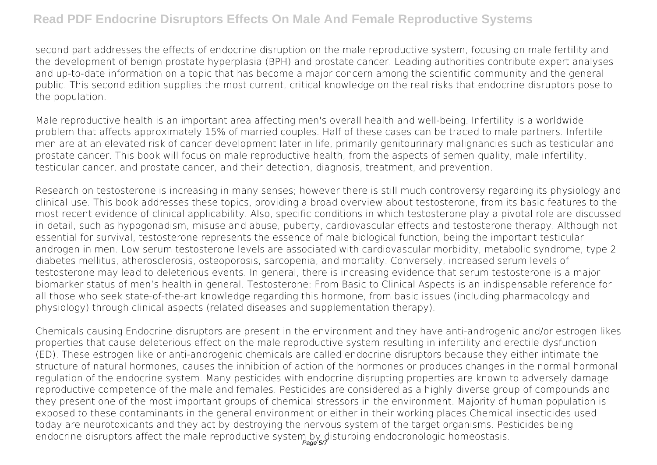second part addresses the effects of endocrine disruption on the male reproductive system, focusing on male fertility and the development of benign prostate hyperplasia (BPH) and prostate cancer. Leading authorities contribute expert analyses and up-to-date information on a topic that has become a major concern among the scientific community and the general public. This second edition supplies the most current, critical knowledge on the real risks that endocrine disruptors pose to the population.

Male reproductive health is an important area affecting men's overall health and well-being. Infertility is a worldwide problem that affects approximately 15% of married couples. Half of these cases can be traced to male partners. Infertile men are at an elevated risk of cancer development later in life, primarily genitourinary malignancies such as testicular and prostate cancer. This book will focus on male reproductive health, from the aspects of semen quality, male infertility, testicular cancer, and prostate cancer, and their detection, diagnosis, treatment, and prevention.

Research on testosterone is increasing in many senses; however there is still much controversy regarding its physiology and clinical use. This book addresses these topics, providing a broad overview about testosterone, from its basic features to the most recent evidence of clinical applicability. Also, specific conditions in which testosterone play a pivotal role are discussed in detail, such as hypogonadism, misuse and abuse, puberty, cardiovascular effects and testosterone therapy. Although not essential for survival, testosterone represents the essence of male biological function, being the important testicular androgen in men. Low serum testosterone levels are associated with cardiovascular morbidity, metabolic syndrome, type 2 diabetes mellitus, atherosclerosis, osteoporosis, sarcopenia, and mortality. Conversely, increased serum levels of testosterone may lead to deleterious events. In general, there is increasing evidence that serum testosterone is a major biomarker status of men's health in general. Testosterone: From Basic to Clinical Aspects is an indispensable reference for all those who seek state-of-the-art knowledge regarding this hormone, from basic issues (including pharmacology and physiology) through clinical aspects (related diseases and supplementation therapy).

Chemicals causing Endocrine disruptors are present in the environment and they have anti-androgenic and/or estrogen likes properties that cause deleterious effect on the male reproductive system resulting in infertility and erectile dysfunction (ED). These estrogen like or anti-androgenic chemicals are called endocrine disruptors because they either intimate the structure of natural hormones, causes the inhibition of action of the hormones or produces changes in the normal hormonal regulation of the endocrine system. Many pesticides with endocrine disrupting properties are known to adversely damage reproductive competence of the male and females. Pesticides are considered as a highly diverse group of compounds and they present one of the most important groups of chemical stressors in the environment. Majority of human population is exposed to these contaminants in the general environment or either in their working places.Chemical insecticides used today are neurotoxicants and they act by destroying the nervous system of the target organisms. Pesticides being endocrine disruptors affect the male reproductive system by disturbing endocronologic homeostasis.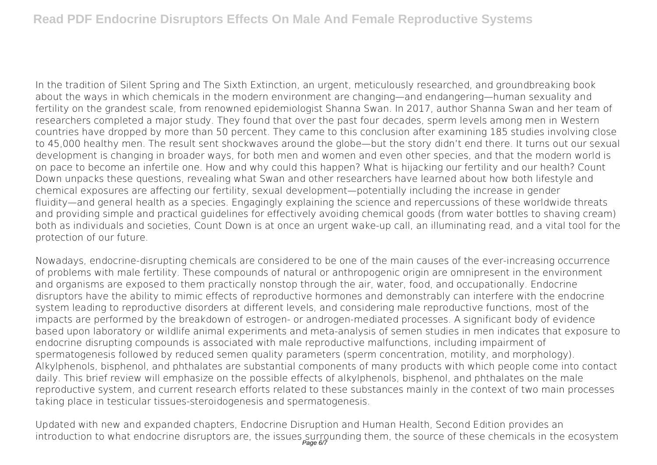In the tradition of Silent Spring and The Sixth Extinction, an urgent, meticulously researched, and groundbreaking book about the ways in which chemicals in the modern environment are changing—and endangering—human sexuality and fertility on the grandest scale, from renowned epidemiologist Shanna Swan. In 2017, author Shanna Swan and her team of researchers completed a major study. They found that over the past four decades, sperm levels among men in Western countries have dropped by more than 50 percent. They came to this conclusion after examining 185 studies involving close to 45,000 healthy men. The result sent shockwaves around the globe—but the story didn't end there. It turns out our sexual development is changing in broader ways, for both men and women and even other species, and that the modern world is on pace to become an infertile one. How and why could this happen? What is hijacking our fertility and our health? Count Down unpacks these questions, revealing what Swan and other researchers have learned about how both lifestyle and chemical exposures are affecting our fertility, sexual development—potentially including the increase in gender fluidity—and general health as a species. Engagingly explaining the science and repercussions of these worldwide threats and providing simple and practical guidelines for effectively avoiding chemical goods (from water bottles to shaving cream) both as individuals and societies, Count Down is at once an urgent wake-up call, an illuminating read, and a vital tool for the protection of our future.

Nowadays, endocrine-disrupting chemicals are considered to be one of the main causes of the ever-increasing occurrence of problems with male fertility. These compounds of natural or anthropogenic origin are omnipresent in the environment and organisms are exposed to them practically nonstop through the air, water, food, and occupationally. Endocrine disruptors have the ability to mimic effects of reproductive hormones and demonstrably can interfere with the endocrine system leading to reproductive disorders at different levels, and considering male reproductive functions, most of the impacts are performed by the breakdown of estrogen- or androgen-mediated processes. A significant body of evidence based upon laboratory or wildlife animal experiments and meta-analysis of semen studies in men indicates that exposure to endocrine disrupting compounds is associated with male reproductive malfunctions, including impairment of spermatogenesis followed by reduced semen quality parameters (sperm concentration, motility, and morphology). Alkylphenols, bisphenol, and phthalates are substantial components of many products with which people come into contact daily. This brief review will emphasize on the possible effects of alkylphenols, bisphenol, and phthalates on the male reproductive system, and current research efforts related to these substances mainly in the context of two main processes taking place in testicular tissues-steroidogenesis and spermatogenesis.

Updated with new and expanded chapters, Endocrine Disruption and Human Health, Second Edition provides an introduction to what endocrine disruptors are, the issues surrounding them, the source of these chemicals in the ecosystem